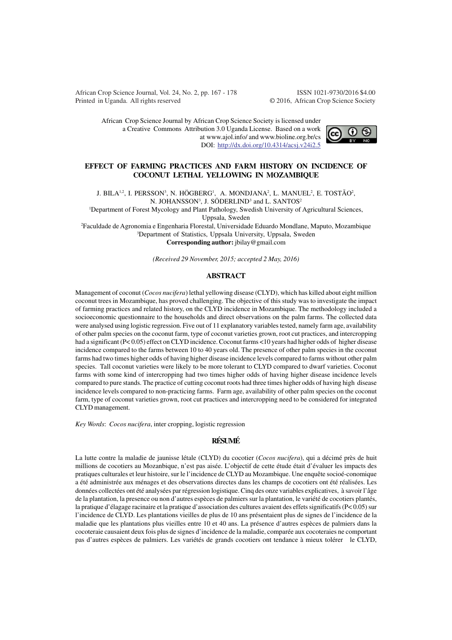African Crop Science Journal, Vol. 24, No. 2, pp. 167 - 178 ISSN 1021-9730/2016 \$4.00 Printed in Uganda. All rights reserved © 2016, African Crop Science Society

African Crop Science Journal by African Crop Science Society is licensed under a Creative Commons Attribution 3.0 Uganda License. Based on a work at www.ajol.info/ and www.bioline.org.br/cs DOI: http://dx.doi.org/10.4314/acsj.v24i2.5



#### **EFFECT OF FARMING PRACTICES AND FARM HISTORY ON INCIDENCE OF COCONUT LETHAL YELLOWING IN MOZAMBIQUE**

J. BILA $^{1,2}$ , I. PERSSON $^3$ , N. HÖGBERG $^1$ , A. MONDJANA $^2$ , L. MANUEL $^2$ , E. TOSTÃO $^2$ , N. JOHANSSON<sup>3</sup>, J. SÖDERLIND<sup>3</sup> and L. SANTOS<sup>2</sup>

<sup>1</sup>Department of Forest Mycology and Plant Pathology, Swedish University of Agricultural Sciences,

Uppsala, Sweden

<sup>2</sup>Faculdade de Agronomia e Engenharia Florestal, Universidade Eduardo Mondlane, Maputo, Mozambique <sup>3</sup>Department of Statistics, Uppsala University, Uppsala, Sweden **Corresponding author:** jbilay@gmail.com

*(Received 29 November, 2015; accepted 2 May, 2016)*

## **ABSTRACT**

Management of coconut (*Cocos nucifera*) lethal yellowing disease (CLYD), which has killed about eight million coconut trees in Mozambique, has proved challenging. The objective of this study was to investigate the impact of farming practices and related history, on the CLYD incidence in Mozambique. The methodology included a socioeconomic questionnaire to the households and direct observations on the palm farms. The collected data were analysed using logistic regression. Five out of 11 explanatory variables tested, namely farm age, availability of other palm species on the coconut farm, type of coconut varieties grown, root cut practices, and intercropping had a significant (P< 0.05) effect on CLYD incidence. Coconut farms <10 years had higher odds of higher disease incidence compared to the farms between 10 to 40 years old. The presence of other palm species in the coconut farms had two times higher odds of having higher disease incidence levels compared to farms without other palm species. Tall coconut varieties were likely to be more tolerant to CLYD compared to dwarf varieties. Coconut farms with some kind of intercropping had two times higher odds of having higher disease incidence levels compared to pure stands. The practice of cutting coconut roots had three times higher odds of having high disease incidence levels compared to non-practicing farms. Farm age, availability of other palm species on the coconut farm, type of coconut varieties grown, root cut practices and intercropping need to be considered for integrated CLYD management.

*Key Words*: *Cocos nucifera*, inter cropping, logistic regression

## **RÉSUMÉ**

La lutte contre la maladie de jaunisse létale (CLYD) du cocotier (*Cocos nucifera*), qui a décimé près de huit millions de cocotiers au Mozanbique, n'est pas aisée. L'objectif de cette étude était d'évaluer les impacts des pratiques culturales et leur histoire, sur le l'incidence de CLYD au Mozambique. Une enquête socioé-conomique a été administrée aux ménages et des observations directes dans les champs de cocotiers ont été réalisées. Les données collectées ont été analysées par régression logistique. Cinq des onze variables explicatives, à savoir l'âge de la plantation, la presence ou non d'autres espèces de palmiers sur la plantation, le variété de cocotiers plantés, la pratique d'élagage racinaire et la pratique d'association des cultures avaient des effets significatifs (P< 0.05) sur l'incidence de CLYD. Les plantations vieilles de plus de 10 ans présentaient plus de signes de l'incidence de la maladie que les plantations plus vieilles entre 10 et 40 ans. La présence d'autres espèces de palmiers dans la cocoteraie causaient deux fois plus de signes d'incidence de la maladie, comparée aux cocoteraies ne comportant pas d'autres espèces de palmiers. Les variétés de grands cocotiers ont tendance à mieux tolérer le CLYD,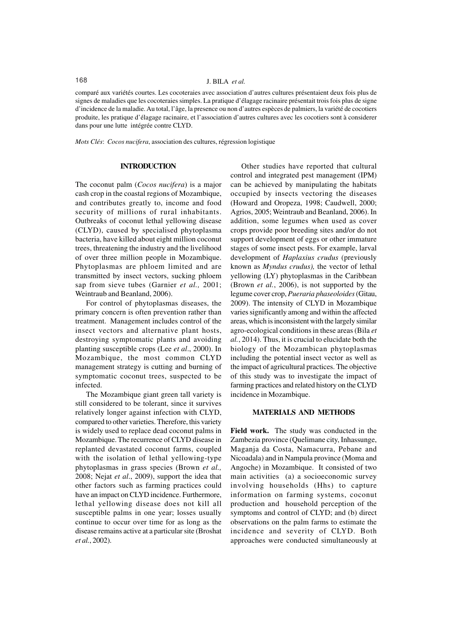# 168 J. BILA *et al.*

comparé aux variétés courtes. Les cocoteraies avec association d'autres cultures présentaient deux fois plus de signes de maladies que les cocoteraies simples. La pratique d'élagage racinaire présentait trois fois plus de signe d'incidence de la maladie. Au total, l'âge, la presence ou non d'autres espèces de palmiers, la variété de cocotiers produite, les pratique d'élagage racinaire, et l'association d'autres cultures avec les cocotiers sont à considerer dans pour une lutte intégrée contre CLYD.

*Mots Clés*: *Cocos nucifera*, association des cultures, régression logistique

#### **INTRODUCTION**

The coconut palm (*Cocos nucifera*) is a major cash crop in the coastal regions of Mozambique, and contributes greatly to, income and food security of millions of rural inhabitants. Outbreaks of coconut lethal yellowing disease (CLYD), caused by specialised phytoplasma bacteria, have killed about eight million coconut trees, threatening the industry and the livelihood of over three million people in Mozambique. Phytoplasmas are phloem limited and are transmitted by insect vectors, sucking phloem sap from sieve tubes (Garnier *et al.,* 2001; Weintraub and Beanland, 2006).

For control of phytoplasmas diseases, the primary concern is often prevention rather than treatment. Management includes control of the insect vectors and alternative plant hosts, destroying symptomatic plants and avoiding planting susceptible crops (Lee *et al*., 2000). In Mozambique, the most common CLYD management strategy is cutting and burning of symptomatic coconut trees, suspected to be infected.

The Mozambique giant green tall variety is still considered to be tolerant, since it survives relatively longer against infection with CLYD, compared to other varieties. Therefore, this variety is widely used to replace dead coconut palms in Mozambique. The recurrence of CLYD disease in replanted devastated coconut farms, coupled with the isolation of lethal yellowing-type phytoplasmas in grass species (Brown *et al.,* 2008; Nejat *et al*., 2009), support the idea that other factors such as farming practices could have an impact on CLYD incidence. Furthermore, lethal yellowing disease does not kill all susceptible palms in one year; losses usually continue to occur over time for as long as the disease remains active at a particular site (Broshat *et al.*, 2002).

Other studies have reported that cultural control and integrated pest management (IPM) can be achieved by manipulating the habitats occupied by insects vectoring the diseases (Howard and Oropeza, 1998; Caudwell, 2000; Agrios, 2005; Weintraub and Beanland, 2006). In addition, some legumes when used as cover crops provide poor breeding sites and/or do not support development of eggs or other immature stages of some insect pests. For example, larval development of *Haplaxius crudus* (previously known as *Myndus crudus),* the vector of lethal yellowing (LY) phytoplasmas in the Caribbean (Brown *et al.*, 2006), is not supported by the legume cover crop, *Pueraria phaseoloides* (Gitau, 2009). The intensity of CLYD in Mozambique varies significantly among and within the affected areas, which is inconsistent with the largely similar agro-ecological conditions in these areas (Bila *et al.*, 2014). Thus, it is crucial to elucidate both the biology of the Mozambican phytoplasmas including the potential insect vector as well as the impact of agricultural practices. The objective of this study was to investigate the impact of farming practices and related history on the CLYD incidence in Mozambique.

## **MATERIALS AND METHODS**

**Field work.** The study was conducted in the Zambezia province (Quelimane city, Inhassunge, Maganja da Costa, Namacurra, Pebane and Nicoadala) and in Nampula province (Moma and Angoche) in Mozambique. It consisted of two main activities (a) a socioeconomic survey involving households (Hhs) to capture information on farming systems, coconut production and household perception of the symptoms and control of CLYD; and (b) direct observations on the palm farms to estimate the incidence and severity of CLYD. Both approaches were conducted simultaneously at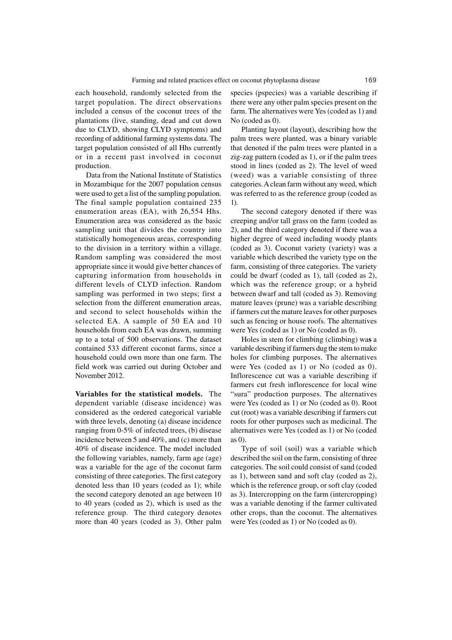each household, randomly selected from the target population. The direct observations included a census of the coconut trees of the plantations (live, standing, dead and cut down due to CLYD, showing CLYD symptoms) and recording of additional farming systems data. The target population consisted of all Hhs currently or in a recent past involved in coconut production.

Data from the National Institute of Statistics in Mozambique for the 2007 population census were used to get a list of the sampling population. The final sample population contained 235 enumeration areas (EA), with 26,554 Hhs. Enumeration area was considered as the basic sampling unit that divides the country into statistically homogeneous areas, corresponding to the division in a territory within a village. Random sampling was considered the most appropriate since it would give better chances of capturing information from households in different levels of CLYD infection. Random sampling was performed in two steps; first a selection from the different enumeration areas, and second to select households within the selected EA. A sample of 50 EA and 10 households from each EA was drawn, summing up to a total of 500 observations. The dataset contained 533 different coconut farms, since a household could own more than one farm. The field work was carried out during October and November 2012.

**Variables for the statistical models.** The dependent variable (disease incidence) was considered as the ordered categorical variable with three levels, denoting (a) disease incidence ranging from 0-5% of infected trees, (b) disease incidence between 5 and 40%, and (c) more than 40% of disease incidence. The model included the following variables, namely, farm age (age) was a variable for the age of the coconut farm consisting of three categories. The first category denoted less than 10 years (coded as 1); while the second category denoted an age between 10 to 40 years (coded as 2), which is used as the reference group. The third category denotes more than 40 years (coded as 3). Other palm

species (pspecies) was a variable describing if there were any other palm species present on the farm. The alternatives were Yes (coded as 1) and No (coded as 0).

Planting layout (layout), describing how the palm trees were planted, was a binary variable that denoted if the palm trees were planted in a zig-zag pattern (coded as 1), or if the palm trees stood in lines (coded as 2). The level of weed (weed) was a variable consisting of three categories. A clean farm without any weed, which was referred to as the reference group (coded as 1).

The second category denoted if there was creeping and/or tall grass on the farm (coded as 2), and the third category denoted if there was a higher degree of weed including woody plants (coded as 3). Coconut variety (variety) was a variable which described the variety type on the farm, consisting of three categories. The variety could be dwarf (coded as 1), tall (coded as 2), which was the reference group; or a hybrid between dwarf and tall (coded as 3). Removing mature leaves (prune) was a variable describing if farmers cut the mature leaves for other purposes such as fencing or house roofs. The alternatives were Yes (coded as 1) or No (coded as 0).

Holes in stem for climbing (climbing) wa**s** a variable describing if farmers dug the stem to make holes for climbing purposes. The alternatives were Yes (coded as 1) or No (coded as 0). Inflorescence cut was a variable describing if farmers cut fresh inflorescence for local wine "sura" production purposes. The alternatives were Yes (coded as 1) or No (coded as 0). Root cut (root) was a variable describing if farmers cut roots for other purposes such as medicinal. The alternatives were Yes (coded as 1) or No (coded as 0).

Type of soil (soil) was a variable which described the soil on the farm, consisting of three categories. The soil could consist of sand (coded as 1), between sand and soft clay (coded as 2), which is the reference group, or soft clay (coded as 3). Intercropping on the farm (intercropping) was a variable denoting if the farmer cultivated other crops, than the coconut. The alternatives were Yes (coded as 1) or No (coded as 0).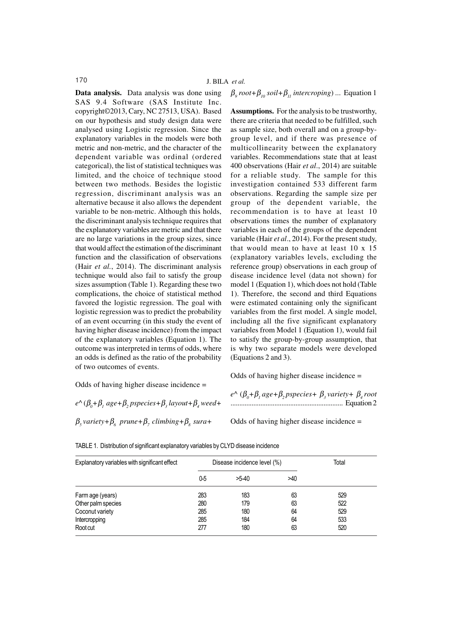**Data analysis.** Data analysis was done using SAS 9.4 Software (SAS Institute Inc. copyright©2013, Cary, NC 27513, USA). Based on our hypothesis and study design data were analysed using Logistic regression. Since the explanatory variables in the models were both metric and non-metric, and the character of the dependent variable was ordinal (ordered categorical), the list of statistical techniques was limited, and the choice of technique stood between two methods. Besides the logistic regression, discriminant analysis was an alternative because it also allows the dependent variable to be non-metric. Although this holds, the discriminant analysis technique requires that the explanatory variables are metric and that there are no large variations in the group sizes, since that would affect the estimation of the discriminant function and the classification of observations (Hair *et al.*, 2014). The discriminant analysis technique would also fail to satisfy the group sizes assumption (Table 1). Regarding these two complications, the choice of statistical method favored the logistic regression. The goal with logistic regression was to predict the probability of an event occurring (in this study the event of having higher disease incidence) from the impact of the explanatory variables (Equation 1). The outcome was interpreted in terms of odds, where an odds is defined as the ratio of the probability of two outcomes of events.

Odds of having higher disease incidence =

 $e^{\wedge} (\beta_{0} + \beta_{1} \text{ agree} + \beta_{2} \text{ presence} + \beta_{3} \text{ layout} + \beta_{4} \text{ weed} + \beta_{5} \text{雖}$  $β<sub>s</sub>$  *variety* +  $β<sub>s</sub>$  *prune* +  $β<sub>s</sub>$  *climbing* +  $β<sub>s</sub>$  *sura* +

 $\beta_9$  *root*+ $\beta_{10}$  *soil*+ $\beta_{11}$  *intercroping*) ... Equation 1

**Assumptions.** For the analysis to be trustworthy, there are criteria that needed to be fulfilled, such as sample size, both overall and on a group-bygroup level, and if there was presence of multicollinearity between the explanatory variables. Recommendations state that at least 400 observations (Hair *et al*., 2014) are suitable for a reliable study. The sample for this investigation contained 533 different farm observations. Regarding the sample size per group of the dependent variable, the recommendation is to have at least 10 observations times the number of explanatory variables in each of the groups of the dependent variable (Hair *et al*., 2014). For the present study, that would mean to have at least 10 x 15 (explanatory variables levels, excluding the reference group) observations in each group of disease incidence level (data not shown) for model 1 (Equation 1), which does not hold (Table 1). Therefore, the second and third Equations were estimated containing only the significant variables from the first model. A single model, including all the five significant explanatory variables from Model 1 (Equation 1), would fail to satisfy the group-by-group assumption, that is why two separate models were developed (Equations 2 and 3).

Odds of having higher disease incidence =

 $e^{\wedge} (\beta_0 + \beta_1 age + \beta_2 pspecies + \beta_3 variable + \beta_4 root$ ................................................................ Equation 2

Odds of having higher disease incidence =

| Explanatory variables with significant effect |     | Disease incidence level (%) |     | Total |
|-----------------------------------------------|-----|-----------------------------|-----|-------|
|                                               | 0-5 | $>5-40$                     | >40 |       |
| Farm age (years)                              | 283 | 183                         | 63  | 529   |
| Other palm species                            | 280 | 179                         | 63  | 522   |
| Coconut variety                               | 285 | 180                         | 64  | 529   |
| Intercropping                                 | 285 | 184                         | 64  | 533   |
| Root cut                                      | 277 | 180                         | 63  | 520   |

TABLE 1. Distribution of significant explanatory variables by CLYD disease incidence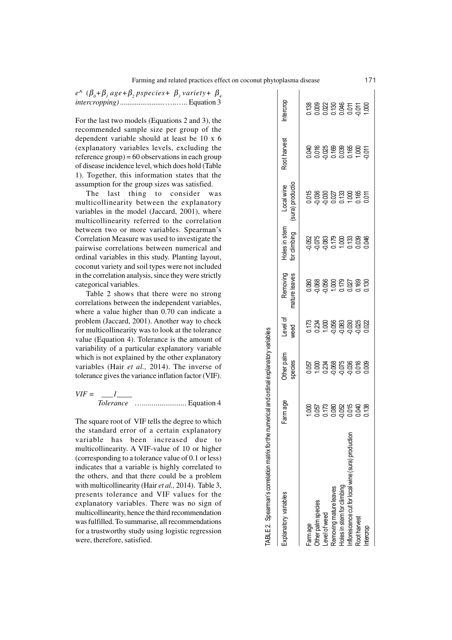$e^{\wedge}$  ( $\beta_0 + \beta$ , age+ $\beta_2$  pspecies+  $\beta_3$  variety+  $\beta_4$ *intercropping) ........................*…..….. Equation 3

For the last two models (Equations 2 and 3), the recommended sample size per group of the dependent variable should at least be 10 x 6 (explanatory variables levels, excluding the reference  $\text{group}$  = 60 observations in each group of disease incidence level, which does hold (Table 1). Together, this information states that the assumption for the group sizes was satisfied.

The last thing to consider was multicollinearity between the explanatory variables in the model (Jaccard, 2001), where multicollinearity referred to the correlation between two or more variables. Spearman's Correlation Measure was used to investigate the pairwise correlations between numerical and ordinal variables in this study. Planting layout, coconut variety and soil types were not included in the correlation analysis, since they were strictly categorical variables.

Table 2 shows that there were no strong correlations between the independent variables, where a value higher than 0.70 can indicate a problem (Jaccard, 2001). Another way to check for multicollinearity was to look at the tolerance value (Equation 4). Tolerance is the amount of variability of a particular explanatory variable which is not explained by the other explanatory variables (Hair *et al.,* 2014). The inverse of tolerance gives the variance inflation factor (VIF).

 $VIF = \_I$ *Tolerance* …....................... Equation 4

The square root of VIF tells the degree to which the standard error of a certain explanatory variable has been increased due to multicollinearity. A VIF-value of 10 or higher (corresponding to a tolerance value of 0.1 or less) indicates that a variable is highly correlated to the others, and that there could be a problem with multicollinearity (Hair *et al.,* 2014). Table 3, presents tolerance and VIF values for the explanatory variables. There was no sign of multicollinearity, hence the third recommendation was fulfilled. To summarise, all recommendations for a trustworthy study using logistic regression were, therefore, satisfied.

| TABLE 2. Spearman's correlation matrix for the numerical and ordinal explanatory variables |          |                             |                                                                   |                           |                                                     |                                               |              |          |
|--------------------------------------------------------------------------------------------|----------|-----------------------------|-------------------------------------------------------------------|---------------------------|-----------------------------------------------------|-----------------------------------------------|--------------|----------|
| Explanatory variables                                                                      | Farm age | <b>Cher palm</b><br>species | Level of<br>weed                                                  | nature leaves<br>Removing | loles in stem<br>or dimbing                         | Local wine<br>sura) producti                  | coot harvest | ntercrop |
| -arm age                                                                                   |          |                             |                                                                   |                           |                                                     |                                               |              |          |
| Jther palm species                                                                         |          |                             |                                                                   |                           |                                                     |                                               |              |          |
| evel of weed                                                                               |          |                             |                                                                   |                           |                                                     |                                               |              |          |
| Removing mature leaves                                                                     |          |                             | 72 34 86 86 86 86 87<br>72 34 86 86 86 87<br>72 34 86 86 86 87 87 |                           | 052<br>0523 0523 053<br>0523 053 053<br>052 053 054 | 00188<br>0038027<br>000001008<br>000000000000 |              |          |
| toles in stem for climbing                                                                 |          |                             |                                                                   |                           |                                                     |                                               |              |          |
| nflorescence cut for local wine (sura) production                                          |          |                             |                                                                   |                           |                                                     |                                               |              |          |
| Root harvest                                                                               |          |                             |                                                                   |                           |                                                     |                                               |              |          |
| deccob                                                                                     |          |                             |                                                                   |                           |                                                     |                                               |              |          |
|                                                                                            |          |                             |                                                                   |                           |                                                     |                                               |              |          |

 $\frac{c}{L}$ **DV**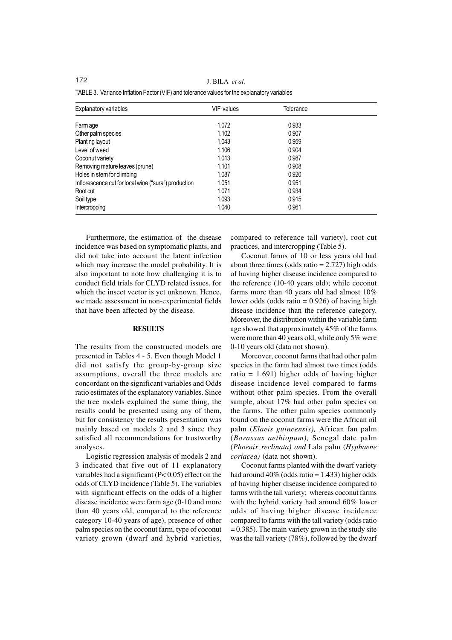172 J. BILA *et al.*

| <b>Explanatory variables</b>                         | <b>VIF</b> values | Tolerance |  |
|------------------------------------------------------|-------------------|-----------|--|
| Farm age                                             | 1.072             | 0.933     |  |
| Other palm species                                   | 1.102             | 0.907     |  |
| Planting layout                                      | 1.043             | 0.959     |  |
| Level of weed                                        | 1.106             | 0.904     |  |
| Coconut variety                                      | 1.013             | 0.987     |  |
| Removing mature leaves (prune)                       | 1.101             | 0.908     |  |
| Holes in stem for climbing                           | 1.087             | 0.920     |  |
| Inflorescence cut for local wine ("sura") production | 1.051             | 0.951     |  |
| Root cut                                             | 1.071             | 0.934     |  |
| Soil type                                            | 1.093             | 0.915     |  |
| Intercropping                                        | 1.040             | 0.961     |  |

|  |  | TABLE 3. Variance Inflation Factor (VIF) and tolerance values for the explanatory variables |  |
|--|--|---------------------------------------------------------------------------------------------|--|
|--|--|---------------------------------------------------------------------------------------------|--|

Furthermore, the estimation of the disease incidence was based on symptomatic plants, and did not take into account the latent infection which may increase the model probability. It is also important to note how challenging it is to conduct field trials for CLYD related issues, for which the insect vector is yet unknown. Hence, we made assessment in non-experimental fields that have been affected by the disease.

## **RESULTS**

The results from the constructed models are presented in Tables 4 - 5. Even though Model 1 did not satisfy the group-by-group size assumptions, overall the three models are concordant on the significant variables and Odds ratio estimates of the explanatory variables. Since the tree models explained the same thing, the results could be presented using any of them, but for consistency the results presentation was mainly based on models 2 and 3 since they satisfied all recommendations for trustworthy analyses.

Logistic regression analysis of models 2 and 3 indicated that five out of 11 explanatory variables had a significant  $(P< 0.05)$  effect on the odds of CLYD incidence (Table 5). The variables with significant effects on the odds of a higher disease incidence were farm age (0-10 and more than 40 years old, compared to the reference category 10-40 years of age), presence of other palm species on the coconut farm, type of coconut variety grown (dwarf and hybrid varieties, compared to reference tall variety), root cut practices, and intercropping (Table 5).

Coconut farms of 10 or less years old had about three times (odds ratio  $= 2.727$ ) high odds of having higher disease incidence compared to the reference (10-40 years old); while coconut farms more than 40 years old had almost 10% lower odds (odds ratio  $= 0.926$ ) of having high disease incidence than the reference category. Moreover, the distribution within the variable farm age showed that approximately 45% of the farms were more than 40 years old, while only 5% were 0-10 years old (data not shown).

Moreover, coconut farms that had other palm species in the farm had almost two times (odds ratio =  $1.691$ ) higher odds of having higher disease incidence level compared to farms without other palm species. From the overall sample, about 17% had other palm species on the farms. The other palm species commonly found on the coconut farms were the African oil palm (*Elaeis guineensis),* African fan palm (*Borassus aethiopum),* Senegal date palm (*Phoenix reclinata) and* Lala palm (*Hyphaene coriacea)* (data not shown).

Coconut farms planted with the dwarf variety had around  $40\%$  (odds ratio = 1.433) higher odds of having higher disease incidence compared to farms with the tall variety; whereas coconut farms with the hybrid variety had around 60% lower odds of having higher disease incidence compared to farms with the tall variety (odds ratio  $= 0.385$ ). The main variety grown in the study site was the tall variety (78%), followed by the dwarf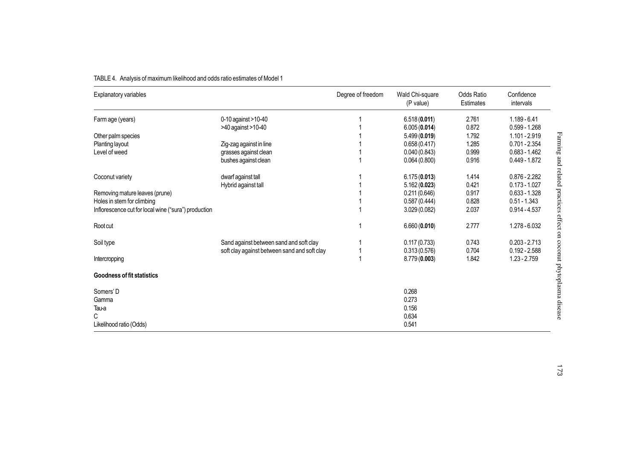| Explanatory variables                                |                                              | Degree of freedom | Wald Chi-square<br>(P value) | <b>Odds Ratio</b><br>Estimates | Confidence<br>intervals |
|------------------------------------------------------|----------------------------------------------|-------------------|------------------------------|--------------------------------|-------------------------|
| Farm age (years)                                     | 0-10 against >10-40                          |                   | 6.518(0.011)                 | 2.761                          | $1.189 - 6.41$          |
|                                                      | >40 against >10-40                           |                   | 6.005(0.014)                 | 0.872                          | $0.599 - 1.268$         |
| Other palm species                                   |                                              |                   | 5.499(0.019)                 | 1.792                          | 1.101 - 2.919           |
| Planting layout                                      | Zig-zag against in line                      |                   | 0.658(0.417)                 | 1.285                          | $0.701 - 2.354$         |
| Level of weed                                        | grasses against clean                        |                   | 0.040(0.843)                 | 0.999                          | $0.683 - 1.462$         |
|                                                      | bushes against clean                         |                   | 0.064(0.800)                 | 0.916                          | $0.449 - 1.872$         |
| Coconut variety                                      | dwarf against tall                           |                   | 6.175(0.013)                 | 1.414                          | $0.876 - 2.282$         |
|                                                      | Hybrid against tall                          |                   | 5.162(0.023)                 | 0.421                          | $0.173 - 1.027$         |
| Removing mature leaves (prune)                       |                                              |                   | 0.211(0.646)                 | 0.917                          | $0.633 - 1.328$         |
| Holes in stem for climbing                           |                                              |                   | 0.587(0.444)                 | 0.828                          | $0.51 - 1.343$          |
| Inflorescence cut for local wine ("sura") production |                                              |                   | 3.029 (0.082)                | 2.037                          | $0.914 - 4.537$         |
| Root cut                                             |                                              |                   | 6.660(0.010)                 | 2.777                          | 1.278 - 6.032           |
| Soil type                                            | Sand against between sand and soft clay      |                   | 0.117(0.733)                 | 0.743                          | $0.203 - 2.713$         |
|                                                      | soft clay against between sand and soft clay |                   | 0.313(0.576)                 | 0.704                          | $0.192 - 2.588$         |
| Intercropping                                        |                                              |                   | 8.779(0.003)                 | 1.842                          | $1.23 - 2.759$          |
| <b>Goodness of fit statistics</b>                    |                                              |                   |                              |                                |                         |
| Somers' D<br>Gamma<br>Tau-a                          |                                              |                   | 0.268<br>0.273<br>0.156      |                                |                         |
| С<br>Likelihood ratio (Odds)                         |                                              |                   | 0.634<br>0.541               |                                |                         |

# TABLE 4. Analysis of maximum likelihood and odds ratio estimates of Model 1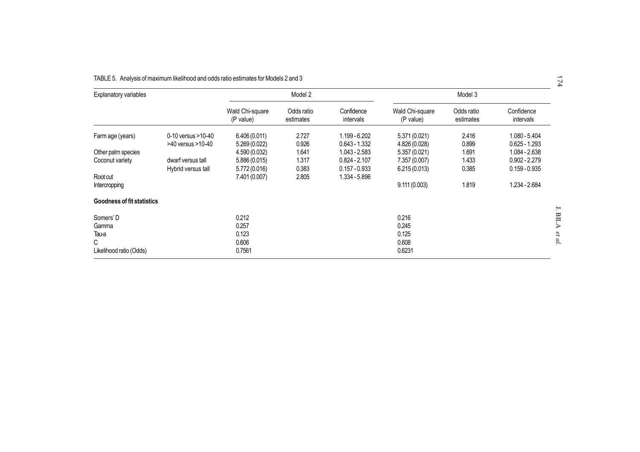| $\overline{\phantom{a}}$<br>74 |                                    |                         |                                |                                  |                         |                               |                                         | TABLE 5. Analysis of maximum likelihood and odds ratio estimates for Models 2 and 3 |
|--------------------------------|------------------------------------|-------------------------|--------------------------------|----------------------------------|-------------------------|-------------------------------|-----------------------------------------|-------------------------------------------------------------------------------------|
|                                | Model 3                            |                         |                                |                                  | Model 2                 |                               |                                         | <b>Explanatory variables</b>                                                        |
|                                | Confidence<br>intervals            | Odds ratio<br>estimates | Wald Chi-square<br>(P value)   | Confidence<br>intervals          | Odds ratio<br>estimates | Wald Chi-square<br>(P value)  |                                         |                                                                                     |
|                                | $1.080 - 5.404$<br>$0.625 - 1.293$ | 2.416<br>0.899          | 5.371 (0.021)<br>4.826 (0.028) | 1.199 - 6.202<br>$0.643 - 1.332$ | 2.727<br>0.926          | 6.406(0.011)<br>5.269 (0.022) | 0-10 yersus >10-40<br>>40 yersus >10-40 | Farm age (years)                                                                    |
|                                | 1.084 - 2.638                      | 1.691                   |                                | $1.043 - 2.583$                  | 1.641                   |                               |                                         |                                                                                     |
|                                | $0.902 - 2.279$                    | 1.433                   | 7.357 (0.007)                  | $0.824 - 2.107$                  | 1.317                   | 5.886(0.015)                  | dwarf versus tall                       | Coconut variety                                                                     |
|                                | $0.159 - 0.935$                    | 0.385                   | 6.215(0.013)                   | $0.157 - 0.933$                  | 0.383                   | 5.772 (0.016)                 | Hybrid versus tall                      |                                                                                     |
|                                |                                    |                         |                                | 1.334 - 5.896                    | 2.805                   | 7.401 (0.007)                 |                                         | Root cut                                                                            |
|                                | 1.234 - 2.684                      | 1.819                   | 9.111(0.003)                   |                                  |                         |                               |                                         | Intercropping                                                                       |
|                                |                                    |                         |                                |                                  |                         |                               |                                         | Goodness of fit statistics                                                          |
| <b>BILA</b>                    |                                    |                         |                                |                                  |                         |                               |                                         |                                                                                     |
|                                |                                    |                         | 0.245                          |                                  |                         | 0.257                         |                                         |                                                                                     |
|                                |                                    |                         | 0.125                          |                                  |                         | 0.123                         |                                         |                                                                                     |
| et al.                         |                                    |                         | 0.608                          |                                  |                         | 0.606                         |                                         | C                                                                                   |
|                                |                                    |                         | 0.6231                         |                                  |                         | 0.7561                        |                                         | Likelihood ratio (Odds)                                                             |
|                                |                                    |                         | 5.357(0.021)<br>0.216          |                                  |                         | 4.590 (0.032)<br>0.212        |                                         | Other palm species<br>Somers' D<br>Gamma<br>Tau-a                                   |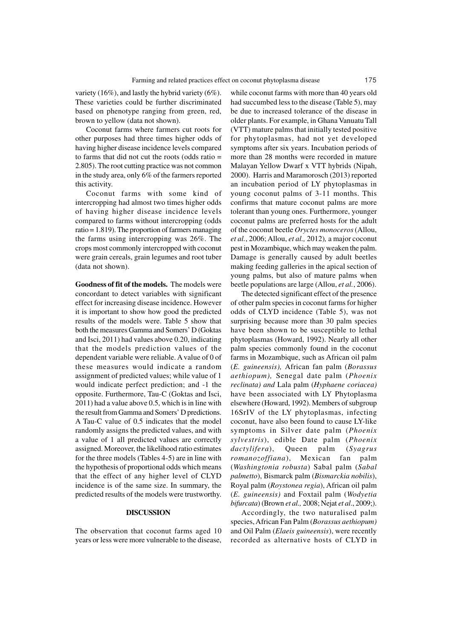variety (16%), and lastly the hybrid variety (6%). These varieties could be further discriminated based on phenotype ranging from green, red, brown to yellow (data not shown).

Coconut farms where farmers cut roots for other purposes had three times higher odds of having higher disease incidence levels compared to farms that did not cut the roots (odds ratio = 2.805). The root cutting practice was not common in the study area, only 6% of the farmers reported this activity.

Coconut farms with some kind of intercropping had almost two times higher odds of having higher disease incidence levels compared to farms without intercropping (odds ratio  $= 1.819$ ). The proportion of farmers managing the farms using intercropping was 26%. The crops most commonly intercropped with coconut were grain cereals, grain legumes and root tuber (data not shown).

**Goodness of fit of the models.** The models were concordant to detect variables with significant effect for increasing disease incidence. However it is important to show how good the predicted results of the models were. Table 5 show that both the measures Gamma and Somers' D (Goktas and Isci, 2011) had values above 0.20, indicating that the models prediction values of the dependent variable were reliable. A value of 0 of these measures would indicate a random assignment of predicted values; while value of 1 would indicate perfect prediction; and -1 the opposite. Furthermore, Tau-C (Goktas and Isci, 2011) had a value above 0.5, which is in line with the result from Gamma and Somers' D predictions. A Tau-C value of 0.5 indicates that the model randomly assigns the predicted values, and with a value of 1 all predicted values are correctly assigned. Moreover, the likelihood ratio estimates for the three models (Tables 4-5) are in line with the hypothesis of proportional odds which means that the effect of any higher level of CLYD incidence is of the same size. In summary, the predicted results of the models were trustworthy.

#### **DISCUSSION**

The observation that coconut farms aged 10 years or less were more vulnerable to the disease,

while coconut farms with more than 40 years old had succumbed less to the disease (Table 5), may be due to increased tolerance of the disease in older plants.For example, in Ghana Vanuatu Tall (VTT) mature palms that initially tested positive for phytoplasmas, had not yet developed symptoms after six years. Incubation periods of more than 28 months were recorded in mature Malayan Yellow Dwarf x VTT hybrids (Nipah, 2000). Harris and Maramorosch (2013) reported an incubation period of LY phytoplasmas in young coconut palms of 3-11 months. This confirms that mature coconut palms are more tolerant than young ones. Furthermore, younger coconut palms are preferred hosts for the adult of the coconut beetle *Oryctes monoceros* (Allou, *et al.*, 2006; Allou, *et al.,* 2012)*,* a major coconut pest in Mozambique, which may weaken the palm. Damage is generally caused by adult beetles making feeding galleries in the apical section of young palms, but also of mature palms when beetle populations are large (Allou, *et al.*, 2006).

The detected significant effect of the presence of other palm species in coconut farms for higher odds of CLYD incidence (Table 5), was not surprising because more than 30 palm species have been shown to be susceptible to lethal phytoplasmas (Howard, 1992). Nearly all other palm species commonly found in the coconut farms in Mozambique, such as African oil palm (*E. guineensis),* African fan palm (*Borassus aethiopum),* Senegal date palm (*Phoenix reclinata) and* Lala palm (*Hyphaene coriacea)* have been associated with LY Phytoplasma elsewhere (Howard, 1992). Members of subgroup 16SrIV of the LY phytoplasmas, infecting coconut, have also been found to cause LY-like symptoms in Silver date palm (*Phoenix sylvestris*), edible Date palm (*Phoenix dactylifera*), Queen palm (*Syagrus romanozoffiana*), Mexican fan palm (*Washingtonia robusta*) Sabal palm (*Sabal palmetto*), Bismarck palm (*Bismarckia nobilis*), Royal palm (*Roystonea regia*), African oil palm (*E. guineensis)* and Foxtail palm (*Wodyetia bifurcata*) (Brown *et al.,* 2008; Nejat *et al*., 2009;).

Accordingly, the two naturalised palm species, African Fan Palm (*Borassus aethiopum)* and Oil Palm (*Elaeis guineensis*), were recently recorded as alternative hosts of CLYD in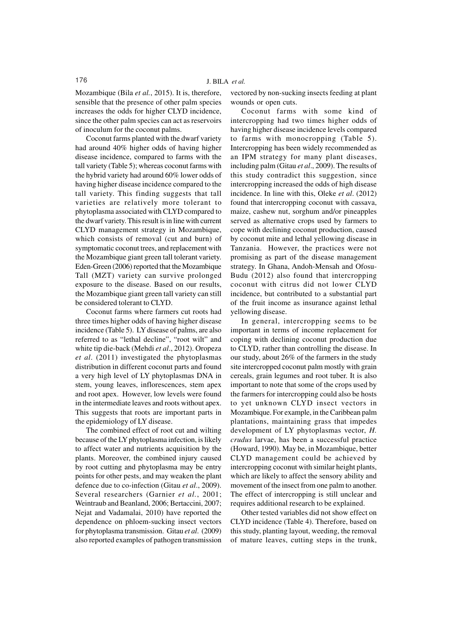Mozambique (Bila *et al.*, 2015). It is, therefore, sensible that the presence of other palm species increases the odds for higher CLYD incidence, since the other palm species can act as reservoirs of inoculum for the coconut palms.

Coconut farms planted with the dwarf variety had around 40% higher odds of having higher disease incidence, compared to farms with the tall variety (Table 5); whereas coconut farms with the hybrid variety had around 60% lower odds of having higher disease incidence compared to the tall variety. This finding suggests that tall varieties are relatively more tolerant to phytoplasma associated with CLYD compared to the dwarf variety. This result is in line with current CLYD management strategy in Mozambique, which consists of removal (cut and burn) of symptomatic coconut trees, and replacement with the Mozambique giant green tall tolerant variety. Eden-Green (2006) reported that the Mozambique Tall (MZT) variety can survive prolonged exposure to the disease. Based on our results, the Mozambique giant green tall variety can still be considered tolerant to CLYD.

Coconut farms where farmers cut roots had three times higher odds of having higher disease incidence (Table 5). LY disease of palms, are also referred to as "lethal decline", "root wilt" and white tip die-back (Mehdi *et al*., 2012). Oropeza *et al*. (2011) investigated the phytoplasmas distribution in different coconut parts and found a very high level of LY phytoplasmas DNA in stem, young leaves, inflorescences, stem apex and root apex. However, low levels were found in the intermediate leaves and roots without apex. This suggests that roots are important parts in the epidemiology of LY disease.

The combined effect of root cut and wilting because of the LY phytoplasma infection, is likely to affect water and nutrients acquisition by the plants. Moreover, the combined injury caused by root cutting and phytoplasma may be entry points for other pests, and may weaken the plant defence due to co-infection (Gitau *et al*., 2009). Several researchers (Garnier *et al.*, 2001; Weintraub and Beanland, 2006; Bertaccini, 2007; Nejat and Vadamalai, 2010) have reported the dependence on phloem-sucking insect vectors for phytoplasma transmission. Gitau *et al*. (2009) also reported examples of pathogen transmission

vectored by non-sucking insects feeding at plant wounds or open cuts.

Coconut farms with some kind of intercropping had two times higher odds of having higher disease incidence levels compared to farms with monocropping (Table 5). Intercropping has been widely recommended as an IPM strategy for many plant diseases, including palm (Gitau *et al*., 2009). The results of this study contradict this suggestion, since intercropping increased the odds of high disease incidence. In line with this, Oleke *et al*. (2012) found that intercropping coconut with cassava, maize, cashew nut, sorghum and/or pineapples served as alternative crops used by farmers to cope with declining coconut production, caused by coconut mite and lethal yellowing disease in Tanzania. However, the practices were not promising as part of the disease management strategy. In Ghana, Andoh-Mensah and Ofosu-Budu (2012) also found that intercropping coconut with citrus did not lower CLYD incidence, but contributed to a substantial part of the fruit income as insurance against lethal yellowing disease.

In general, intercropping seems to be important in terms of income replacement for coping with declining coconut production due to CLYD, rather than controlling the disease. In our study, about 26% of the farmers in the study site intercropped coconut palm mostly with grain cereals, grain legumes and root tuber. It is also important to note that some of the crops used by the farmers for intercropping could also be hosts to yet unknown CLYD insect vectors in Mozambique. For example, in the Caribbean palm plantations, maintaining grass that impedes development of LY phytoplasmas vector, *H. crudus* larvae, has been a successful practice (Howard, 1990). May be, in Mozambique, better CLYD management could be achieved by intercropping coconut with similar height plants, which are likely to affect the sensory ability and movement of the insect from one palm to another. The effect of intercropping is still unclear and requires additional research to be explained.

Other tested variables did not show effect on CLYD incidence (Table 4). Therefore, based on this study, planting layout, weeding, the removal of mature leaves, cutting steps in the trunk,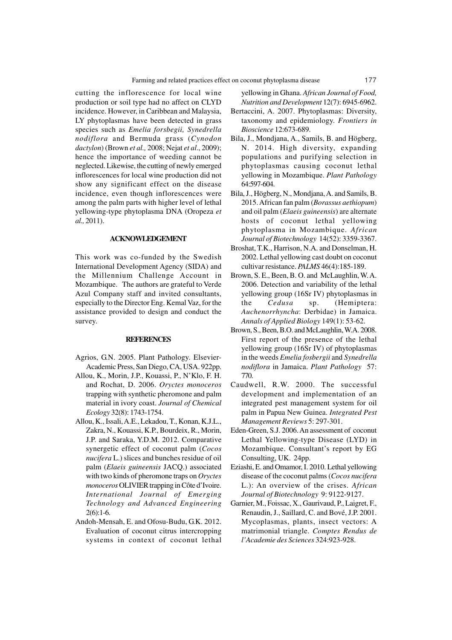cutting the inflorescence for local wine production or soil type had no affect on CLYD incidence. However, in Caribbean and Malaysia, LY phytoplasmas have been detected in grass species such as *Emelia forsbegii, Synedrella nodiflora* and Bermuda grass (*Cynodon dactylon*) (Brown *et al.,* 2008; Nejat *et al*., 2009); hence the importance of weeding cannot be neglected. Likewise, the cutting of newly emerged inflorescences for local wine production did not show any significant effect on the disease incidence, even though inflorescences were among the palm parts with higher level of lethal yellowing-type phytoplasma DNA (Oropeza *et al.,* 2011).

# **ACKNOWLEDGEMENT**

This work was co-funded by the Swedish International Development Agency (SIDA) and the Millennium Challenge Account in Mozambique. The authors are grateful to Verde Azul Company staff and invited consultants, especially to the Director Eng. Kemal Vaz, for the assistance provided to design and conduct the survey.

#### **REFERENCES**

- Agrios, G.N. 2005. Plant Pathology. Elsevier-Academic Press, San Diego, CA, USA. 922pp.
- Allou, K., Morin, J.P., Kouassi, P., N'Klo, F. H. and Rochat, D. 2006. *Oryctes monoceros* trapping with synthetic pheromone and palm material in ivory coast. *Journal of Chemical Ecology* 32(8): 1743-1754.
- Allou, K., Issali, A.E., Lekadou, T., Konan, K.J.L., Zakra, N., Kouassi, K.P., Bourdeix, R., Morin, J.P. and Saraka, Y.D.M. 2012. Comparative synergetic effect of coconut palm (*Cocos nucifera* L.) slices and bunches residue of oil palm (*Elaeis guineensis* JACQ.) associated with two kinds of pheromone traps on *Oryctes monoceros* OLIVIER trapping in Côte d'Ivoire. *International Journal of Emerging Technology and Advanced Engineering* 2(6):1-6.
- Andoh-Mensah, E. and Ofosu-Budu, G.K. 2012. Evaluation of coconut citrus intercropping systems in context of coconut lethal

yellowing in Ghana. *African Journal of Food, Nutrition and Development* 12(7): 6945-6962.

- Bertaccini, A. 2007. Phytoplasmas: Diversity, taxonomy and epidemiology. *Frontiers in Bioscience* 12:673-689.
- Bila, J., Mondjana, A., Samils, B. and Högberg, N. 2014. High diversity, expanding populations and purifying selection in phytoplasmas causing coconut lethal yellowing in Mozambique. *Plant Pathology* 64:597-604.
- Bila, J., Högberg, N., Mondjana, A. and Samils, B. 2015. African fan palm (*Borassus aethiopum*) and oil palm (*Elaeis guineensis*) are alternate hosts of coconut lethal yellowing phytoplasma in Mozambique. *African Journal of Biotechnology* 14(52): 3359-3367.
- Broshat, T.K., Harrison, N.A. and Donselman, H. 2002. Lethal yellowing cast doubt on coconut cultivar resistance. *PALMS* 46(4):185-189.
- Brown, S. E., Been, B. O. and McLaughlin, W. A. 2006. Detection and variability of the lethal yellowing group (16Sr IV) phytoplasmas in the *Cedusa* sp. (Hemiptera: *Auchenorrhyncha*: Derbidae) in Jamaica. *Annals of Applied Biology* 149(1): 53-62.
- Brown, S., Been, B.O. and McLaughlin, W.A. 2008. First report of the presence of the lethal yellowing group (16Sr IV) of phytoplasmas in the weeds *Emelia fosbergii* and *Synedrella nodiflora* in Jamaica. *Plant Pathology* 57: 770.
- Caudwell, R.W. 2000. The successful development and implementation of an integrated pest management system for oil palm in Papua New Guinea. *Integrated Pest Management Reviews* 5: 297-301.
- Eden-Green, S.J. 2006. An assessment of coconut Lethal Yellowing-type Disease (LYD) in Mozambique. Consultant's report by EG Consulting, UK. 24pp.
- Eziashi, E. and Omamor, I. 2010. Lethal yellowing disease of the coconut palms (*Cocos nucifera* L.): An overview of the crises. *African Journal of Biotechnology* 9: 9122-9127.
- Garnier, M., Foissac, X., Gaurivaud, P., Laigret, F., Renaudin, J., Saillard, C. and Bové, J.P. 2001. Mycoplasmas, plants, insect vectors: A matrimonial triangle. *Comptes Rendus de l'Academie des Sciences* 324:923-928.